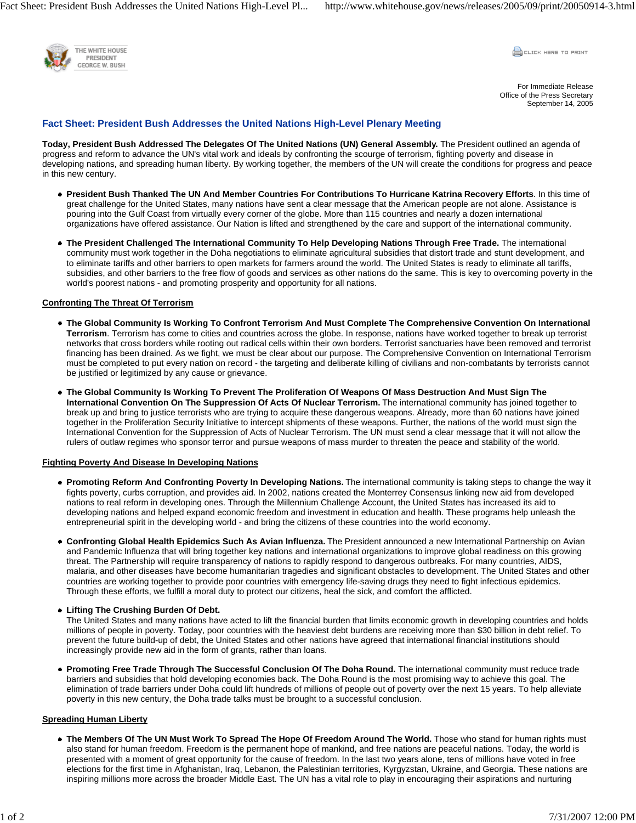Fact Sheet: President Bush Addresses the United Nations High-Level Pl... http://www.whitehouse.gov/news/releases/2005/09/print/20050914-3.html



**CLICK HERE TO PRINT** 

For Immediate Release Office of the Press Secretary September 14, 2005

## **Fact Sheet: President Bush Addresses the United Nations High-Level Plenary Meeting**

**Today, President Bush Addressed The Delegates Of The United Nations (UN) General Assembly.** The President outlined an agenda of progress and reform to advance the UN's vital work and ideals by confronting the scourge of terrorism, fighting poverty and disease in developing nations, and spreading human liberty. By working together, the members of the UN will create the conditions for progress and peace in this new century.

- **President Bush Thanked The UN And Member Countries For Contributions To Hurricane Katrina Recovery Efforts**. In this time of great challenge for the United States, many nations have sent a clear message that the American people are not alone. Assistance is pouring into the Gulf Coast from virtually every corner of the globe. More than 115 countries and nearly a dozen international organizations have offered assistance. Our Nation is lifted and strengthened by the care and support of the international community.
- **The President Challenged The International Community To Help Developing Nations Through Free Trade.** The international community must work together in the Doha negotiations to eliminate agricultural subsidies that distort trade and stunt development, and to eliminate tariffs and other barriers to open markets for farmers around the world. The United States is ready to eliminate all tariffs, subsidies, and other barriers to the free flow of goods and services as other nations do the same. This is key to overcoming poverty in the world's poorest nations - and promoting prosperity and opportunity for all nations.

#### **Confronting The Threat Of Terrorism**

- **The Global Community Is Working To Confront Terrorism And Must Complete The Comprehensive Convention On International Terrorism**. Terrorism has come to cities and countries across the globe. In response, nations have worked together to break up terrorist networks that cross borders while rooting out radical cells within their own borders. Terrorist sanctuaries have been removed and terrorist financing has been drained. As we fight, we must be clear about our purpose. The Comprehensive Convention on International Terrorism must be completed to put every nation on record - the targeting and deliberate killing of civilians and non-combatants by terrorists cannot be justified or legitimized by any cause or grievance.
- **The Global Community Is Working To Prevent The Proliferation Of Weapons Of Mass Destruction And Must Sign The International Convention On The Suppression Of Acts Of Nuclear Terrorism.** The international community has joined together to break up and bring to justice terrorists who are trying to acquire these dangerous weapons. Already, more than 60 nations have joined together in the Proliferation Security Initiative to intercept shipments of these weapons. Further, the nations of the world must sign the International Convention for the Suppression of Acts of Nuclear Terrorism. The UN must send a clear message that it will not allow the rulers of outlaw regimes who sponsor terror and pursue weapons of mass murder to threaten the peace and stability of the world.

#### **Fighting Poverty And Disease In Developing Nations**

- **Promoting Reform And Confronting Poverty In Developing Nations.** The international community is taking steps to change the way it fights poverty, curbs corruption, and provides aid. In 2002, nations created the Monterrey Consensus linking new aid from developed nations to real reform in developing ones. Through the Millennium Challenge Account, the United States has increased its aid to developing nations and helped expand economic freedom and investment in education and health. These programs help unleash the entrepreneurial spirit in the developing world - and bring the citizens of these countries into the world economy.
- **Confronting Global Health Epidemics Such As Avian Influenza.** The President announced a new International Partnership on Avian and Pandemic Influenza that will bring together key nations and international organizations to improve global readiness on this growing threat. The Partnership will require transparency of nations to rapidly respond to dangerous outbreaks. For many countries, AIDS, malaria, and other diseases have become humanitarian tragedies and significant obstacles to development. The United States and other countries are working together to provide poor countries with emergency life-saving drugs they need to fight infectious epidemics. Through these efforts, we fulfill a moral duty to protect our citizens, heal the sick, and comfort the afflicted.

#### **Lifting The Crushing Burden Of Debt.**

The United States and many nations have acted to lift the financial burden that limits economic growth in developing countries and holds millions of people in poverty. Today, poor countries with the heaviest debt burdens are receiving more than \$30 billion in debt relief. To prevent the future build-up of debt, the United States and other nations have agreed that international financial institutions should increasingly provide new aid in the form of grants, rather than loans.

**Promoting Free Trade Through The Successful Conclusion Of The Doha Round.** The international community must reduce trade barriers and subsidies that hold developing economies back. The Doha Round is the most promising way to achieve this goal. The elimination of trade barriers under Doha could lift hundreds of millions of people out of poverty over the next 15 years. To help alleviate poverty in this new century, the Doha trade talks must be brought to a successful conclusion.

# **Spreading Human Liberty**

**The Members Of The UN Must Work To Spread The Hope Of Freedom Around The World.** Those who stand for human rights must also stand for human freedom. Freedom is the permanent hope of mankind, and free nations are peaceful nations. Today, the world is presented with a moment of great opportunity for the cause of freedom. In the last two years alone, tens of millions have voted in free elections for the first time in Afghanistan, Iraq, Lebanon, the Palestinian territories, Kyrgyzstan, Ukraine, and Georgia. These nations are inspiring millions more across the broader Middle East. The UN has a vital role to play in encouraging their aspirations and nurturing